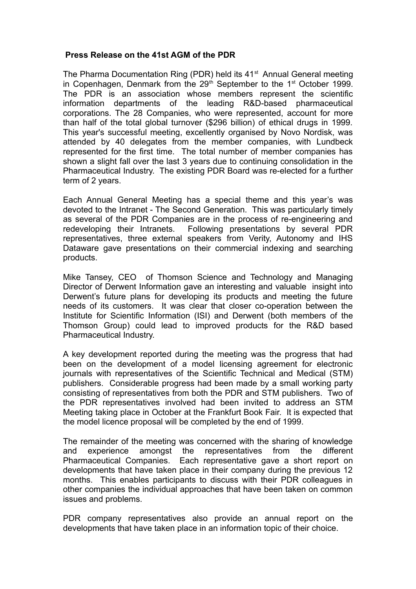## **Press Release on the 41st AGM of the PDR**

The Pharma Documentation Ring (PDR) held its 41<sup>st</sup> Annual General meeting in Copenhagen, Denmark from the  $29<sup>th</sup>$  September to the  $1<sup>st</sup>$  October 1999. The PDR is an association whose members represent the scientific information departments of the leading R&D-based pharmaceutical corporations. The 28 Companies, who were represented, account for more than half of the total global turnover (\$296 billion) of ethical drugs in 1999. This year's successful meeting, excellently organised by Novo Nordisk, was attended by 40 delegates from the member companies, with Lundbeck represented for the first time. The total number of member companies has shown a slight fall over the last 3 years due to continuing consolidation in the Pharmaceutical Industry. The existing PDR Board was re-elected for a further term of 2 years.

Each Annual General Meeting has a special theme and this year's was devoted to the Intranet - The Second Generation. This was particularly timely as several of the PDR Companies are in the process of re-engineering and redeveloping their Intranets. Following presentations by several PDR representatives, three external speakers from Verity, Autonomy and IHS Dataware gave presentations on their commercial indexing and searching products.

Mike Tansey, CEO of Thomson Science and Technology and Managing Director of Derwent Information gave an interesting and valuable insight into Derwent's future plans for developing its products and meeting the future needs of its customers. It was clear that closer co-operation between the Institute for Scientific Information (ISI) and Derwent (both members of the Thomson Group) could lead to improved products for the R&D based Pharmaceutical Industry.

A key development reported during the meeting was the progress that had been on the development of a model licensing agreement for electronic journals with representatives of the Scientific Technical and Medical (STM) publishers. Considerable progress had been made by a small working party consisting of representatives from both the PDR and STM publishers. Two of the PDR representatives involved had been invited to address an STM Meeting taking place in October at the Frankfurt Book Fair. It is expected that the model licence proposal will be completed by the end of 1999.

The remainder of the meeting was concerned with the sharing of knowledge and experience amongst the representatives from the different Pharmaceutical Companies. Each representative gave a short report on developments that have taken place in their company during the previous 12 months. This enables participants to discuss with their PDR colleagues in other companies the individual approaches that have been taken on common issues and problems.

PDR company representatives also provide an annual report on the developments that have taken place in an information topic of their choice.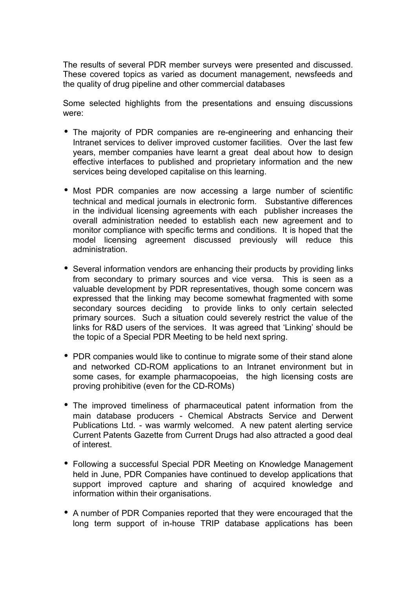The results of several PDR member surveys were presented and discussed. These covered topics as varied as document management, newsfeeds and the quality of drug pipeline and other commercial databases

Some selected highlights from the presentations and ensuing discussions were:

- The majority of PDR companies are re-engineering and enhancing their Intranet services to deliver improved customer facilities. Over the last few years, member companies have learnt a great deal about how to design effective interfaces to published and proprietary information and the new services being developed capitalise on this learning.
- Most PDR companies are now accessing a large number of scientific technical and medical journals in electronic form. Substantive differences in the individual licensing agreements with each publisher increases the overall administration needed to establish each new agreement and to monitor compliance with specific terms and conditions. It is hoped that the model licensing agreement discussed previously will reduce this administration.
- Several information vendors are enhancing their products by providing links from secondary to primary sources and vice versa. This is seen as a valuable development by PDR representatives, though some concern was expressed that the linking may become somewhat fragmented with some secondary sources deciding to provide links to only certain selected primary sources. Such a situation could severely restrict the value of the links for R&D users of the services. It was agreed that 'Linking' should be the topic of a Special PDR Meeting to be held next spring.
- PDR companies would like to continue to migrate some of their stand alone and networked CD-ROM applications to an Intranet environment but in some cases, for example pharmacopoeias, the high licensing costs are proving prohibitive (even for the CD-ROMs)
- The improved timeliness of pharmaceutical patent information from the main database producers - Chemical Abstracts Service and Derwent Publications Ltd. - was warmly welcomed. A new patent alerting service Current Patents Gazette from Current Drugs had also attracted a good deal of interest.
- Following a successful Special PDR Meeting on Knowledge Management held in June, PDR Companies have continued to develop applications that support improved capture and sharing of acquired knowledge and information within their organisations.
- A number of PDR Companies reported that they were encouraged that the long term support of in-house TRIP database applications has been